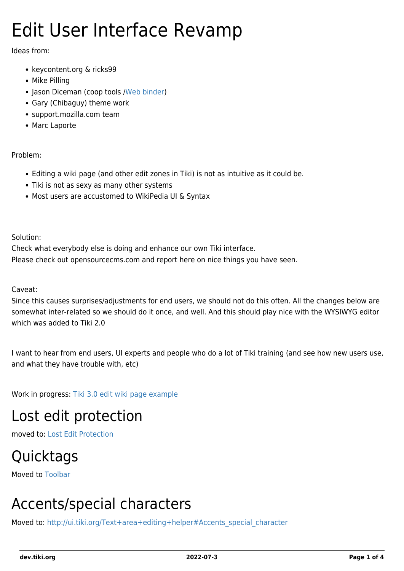# Edit User Interface Revamp

Ideas from:

- keycontent.org & ricks99
- Mike Pilling
- Jason Diceman (coop tools /[Web binder\)](http://sourceforge.net/projects/webbinder/)
- Gary (Chibaguy) theme work
- support.mozilla.com team
- Marc Laporte

#### Problem:

- Editing a wiki page (and other edit zones in Tiki) is not as intuitive as it could be.
- Tiki is not as sexy as many other systems
- Most users are accustomed to WikiPedia UI & Syntax

Solution:

Check what everybody else is doing and enhance our own Tiki interface. Please check out opensourcecms.com and report here on nice things you have seen.

Caveat:

Since this causes surprises/adjustments for end users, we should not do this often. All the changes below are somewhat inter-related so we should do it once, and well. And this should play nice with the WYSIWYG editor which was added to Tiki 2.0

I want to hear from end users, UI experts and people who do a lot of Tiki training (and see how new users use, and what they have trouble with, etc)

Work in progress: [Tiki 3.0 edit wiki page example](http://ui.tiki.org/tiki-editpage.php?page=EditAsAnonymous)

### Lost edit protection

moved to: [Lost Edit Protection](https://dev.tiki.org/Lost-edit-protection)

### **Quicktags**

Moved to [Toolbar](https://dev.tiki.org/Toolbar)

### Accents/special characters

Moved to: [http://ui.tiki.org/Text+area+editing+helper#Accents\\_special\\_character](http://ui.tiki.org/Text+area+editing+helper#Accents_special_character)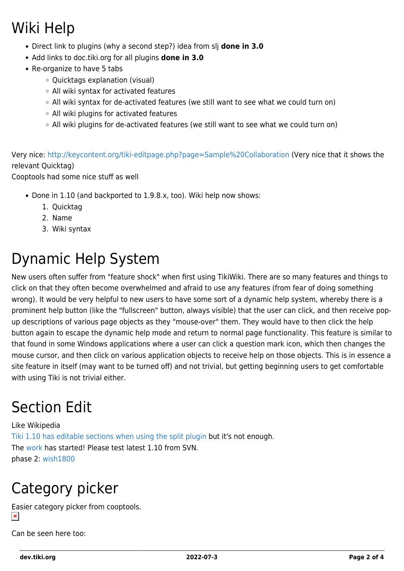# Wiki Help

- Direct link to plugins (why a second step?) idea from slj **done in 3.0**
- Add links to doc.tiki.org for all plugins **done in 3.0**
- Re-organize to have 5 tabs
	- Ouicktags explanation (visual)
	- All wiki syntax for activated features
	- $\circ$  All wiki syntax for de-activated features (we still want to see what we could turn on)
	- All wiki plugins for activated features
	- All wiki plugins for de-activated features (we still want to see what we could turn on)

Very nice:<http://keycontent.org/tiki-editpage.php?page=Sample%20Collaboration>(Very nice that it shows the relevant Quicktag)

Cooptools had some nice stuff as well

- Done in 1.10 (and backported to 1.9.8.x, too). Wiki help now shows:
	- 1. Quicktag
	- 2. Name
	- 3. Wiki syntax

# Dynamic Help System

New users often suffer from "feature shock" when first using TikiWiki. There are so many features and things to click on that they often become overwhelmed and afraid to use any features (from fear of doing something wrong). It would be very helpful to new users to have some sort of a dynamic help system, whereby there is a prominent help button (like the "fullscreen" button, always visible) that the user can click, and then receive popup descriptions of various page objects as they "mouse-over" them. They would have to then click the help button again to escape the dynamic help mode and return to normal page functionality. This feature is similar to that found in some Windows applications where a user can click a question mark icon, which then changes the mouse cursor, and then click on various application objects to receive help on those objects. This is in essence a site feature in itself (may want to be turned off) and not trivial, but getting beginning users to get comfortable with using Tiki is not trivial either.

# Section Edit

Like Wikipedia [Tiki 1.10 has editable sections when using the split plugin](http://doc.tiki.org/PluginSplit) but it's not enough. The [work](https://dev.tiki.org/tiki-view_tracker_item.php?itemId=1421) has started! Please test latest 1.10 from SVN. phase 2: [wish1800](https://dev.tiki.org/wish1800)

# Category picker

Easier category picker from cooptools.  $\pmb{\times}$ 

Can be seen here too: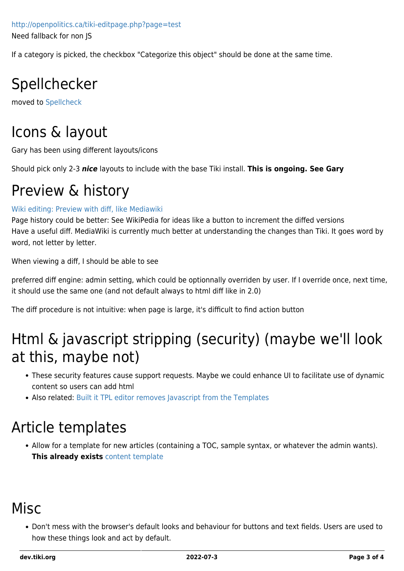<http://openpolitics.ca/tiki-editpage.php?page=test> Need fallback for non JS

If a category is picked, the checkbox "Categorize this object" should be done at the same time.

# Spellchecker

moved to [Spellcheck](https://dev.tiki.org/Spellcheck)

# Icons & layout

Gary has been using different layouts/icons

Should pick only 2-3 *nice* layouts to include with the base Tiki install. **This is ongoing. See Gary**

### Preview & history

#### [Wiki editing: Preview with diff, like Mediawiki](http://dev.tiki.org/tiki-view_tracker_item.php?trackerId=5&itemId=1191)

Page history could be better: See WikiPedia for ideas like a button to increment the diffed versions Have a useful diff. MediaWiki is currently much better at understanding the changes than Tiki. It goes word by word, not letter by letter.

When viewing a diff, I should be able to see

preferred diff engine: admin setting, which could be optionnally overriden by user. If I override once, next time, it should use the same one (and not default always to html diff like in 2.0)

The diff procedure is not intuitive: when page is large, it's difficult to find action button

### Html & javascript stripping (security) (maybe we'll look at this, maybe not)

- These security features cause support requests. Maybe we could enhance UI to facilitate use of dynamic content so users can add html
- Also related: [Built it TPL editor removes Javascript from the Templates](https://dev.tiki.org/tiki-view_tracker_item.php?trackerId=5&itemId=53)

### Article templates

Allow for a template for new articles (containing a TOC, sample syntax, or whatever the admin wants). **This already exists** [content template](http://doc.tiki.org/content%20template)

### Misc

Don't mess with the browser's default looks and behaviour for buttons and text fields. Users are used to how these things look and act by default.